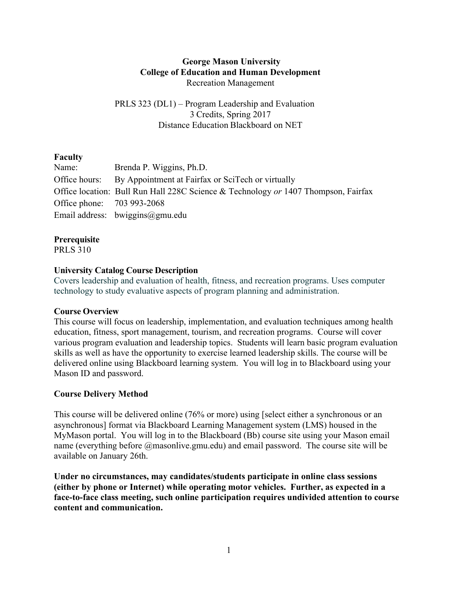#### **George Mason University College of Education and Human Development** Recreation Management

## PRLS 323 (DL1) – Program Leadership and Evaluation 3 Credits, Spring 2017 Distance Education Blackboard on NET

## **Faculty**

| Name:                      | Brenda P. Wiggins, Ph.D.                                                           |
|----------------------------|------------------------------------------------------------------------------------|
|                            | Office hours: By Appointment at Fairfax or SciTech or virtually                    |
|                            | Office location: Bull Run Hall 228C Science & Technology or 1407 Thompson, Fairfax |
| Office phone: 703 993-2068 |                                                                                    |
|                            | Email address: $bwiggins@gmu.edu$                                                  |

## **Prerequisite**

PRLS 310

## **University Catalog Course Description**

Covers leadership and evaluation of health, fitness, and recreation programs. Uses computer technology to study evaluative aspects of program planning and administration.

## **Course Overview**

This course will focus on leadership, implementation, and evaluation techniques among health education, fitness, sport management, tourism, and recreation programs. Course will cover various program evaluation and leadership topics. Students will learn basic program evaluation skills as well as have the opportunity to exercise learned leadership skills. The course will be delivered online using Blackboard learning system. You will log in to Blackboard using your Mason ID and password.

## **Course Delivery Method**

This course will be delivered online (76% or more) using [select either a synchronous or an asynchronous] format via Blackboard Learning Management system (LMS) housed in the MyMason portal. You will log in to the Blackboard (Bb) course site using your Mason email name (everything before @masonlive.gmu.edu) and email password. The course site will be available on January 26th.

**Under no circumstances, may candidates/students participate in online class sessions (either by phone or Internet) while operating motor vehicles. Further, as expected in a face-to-face class meeting, such online participation requires undivided attention to course content and communication.**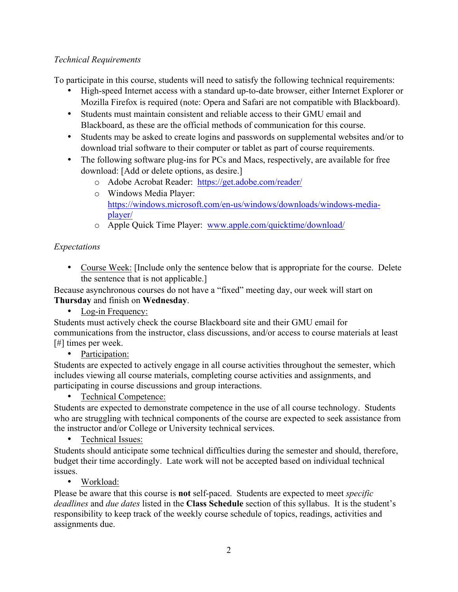## *Technical Requirements*

To participate in this course, students will need to satisfy the following technical requirements:

- High-speed Internet access with a standard up-to-date browser, either Internet Explorer or Mozilla Firefox is required (note: Opera and Safari are not compatible with Blackboard).
- Students must maintain consistent and reliable access to their GMU email and Blackboard, as these are the official methods of communication for this course.
- Students may be asked to create logins and passwords on supplemental websites and/or to download trial software to their computer or tablet as part of course requirements.
- The following software plug-ins for PCs and Macs, respectively, are available for free download: [Add or delete options, as desire.]
	- o Adobe Acrobat Reader: https://get.adobe.com/reader/
	- o Windows Media Player: https://windows.microsoft.com/en-us/windows/downloads/windows-mediaplayer/
	- o Apple Quick Time Player: www.apple.com/quicktime/download/

## *Expectations*

• Course Week: [Include only the sentence below that is appropriate for the course. Delete the sentence that is not applicable.]

Because asynchronous courses do not have a "fixed" meeting day, our week will start on **Thursday** and finish on **Wednesday**.

• Log-in Frequency:

Students must actively check the course Blackboard site and their GMU email for communications from the instructor, class discussions, and/or access to course materials at least [#] times per week.

• Participation:

Students are expected to actively engage in all course activities throughout the semester, which includes viewing all course materials, completing course activities and assignments, and participating in course discussions and group interactions.

• Technical Competence:

Students are expected to demonstrate competence in the use of all course technology. Students who are struggling with technical components of the course are expected to seek assistance from the instructor and/or College or University technical services.

• Technical Issues:

Students should anticipate some technical difficulties during the semester and should, therefore, budget their time accordingly. Late work will not be accepted based on individual technical issues.

• Workload:

Please be aware that this course is **not** self-paced. Students are expected to meet *specific deadlines* and *due dates* listed in the **Class Schedule** section of this syllabus. It is the student's responsibility to keep track of the weekly course schedule of topics, readings, activities and assignments due.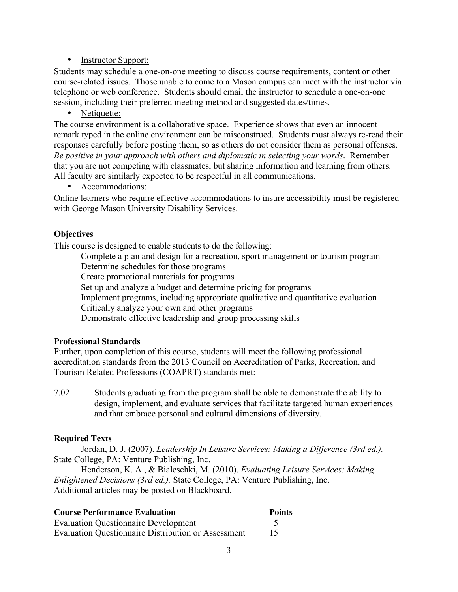#### • Instructor Support:

Students may schedule a one-on-one meeting to discuss course requirements, content or other course-related issues. Those unable to come to a Mason campus can meet with the instructor via telephone or web conference. Students should email the instructor to schedule a one-on-one session, including their preferred meeting method and suggested dates/times.

• Netiquette:

The course environment is a collaborative space. Experience shows that even an innocent remark typed in the online environment can be misconstrued. Students must always re-read their responses carefully before posting them, so as others do not consider them as personal offenses. *Be positive in your approach with others and diplomatic in selecting your words*. Remember that you are not competing with classmates, but sharing information and learning from others. All faculty are similarly expected to be respectful in all communications.

• Accommodations:

Online learners who require effective accommodations to insure accessibility must be registered with George Mason University Disability Services.

## **Objectives**

This course is designed to enable students to do the following:

Complete a plan and design for a recreation, sport management or tourism program Determine schedules for those programs

Create promotional materials for programs

Set up and analyze a budget and determine pricing for programs

Implement programs, including appropriate qualitative and quantitative evaluation Critically analyze your own and other programs

Demonstrate effective leadership and group processing skills

#### **Professional Standards**

Further, upon completion of this course, students will meet the following professional accreditation standards from the 2013 Council on Accreditation of Parks, Recreation, and Tourism Related Professions (COAPRT) standards met:

7.02 Students graduating from the program shall be able to demonstrate the ability to design, implement, and evaluate services that facilitate targeted human experiences and that embrace personal and cultural dimensions of diversity.

## **Required Texts**

Jordan, D. J. (2007). *Leadership In Leisure Services: Making a Difference (3rd ed.).*  State College, PA: Venture Publishing, Inc.

Henderson, K. A., & Bialeschki, M. (2010). *Evaluating Leisure Services: Making Enlightened Decisions (3rd ed.).* State College, PA: Venture Publishing, Inc. Additional articles may be posted on Blackboard.

| <b>Course Performance Evaluation</b>                       | <b>Points</b> |
|------------------------------------------------------------|---------------|
| <b>Evaluation Questionnaire Development</b>                |               |
| <b>Evaluation Questionnaire Distribution or Assessment</b> |               |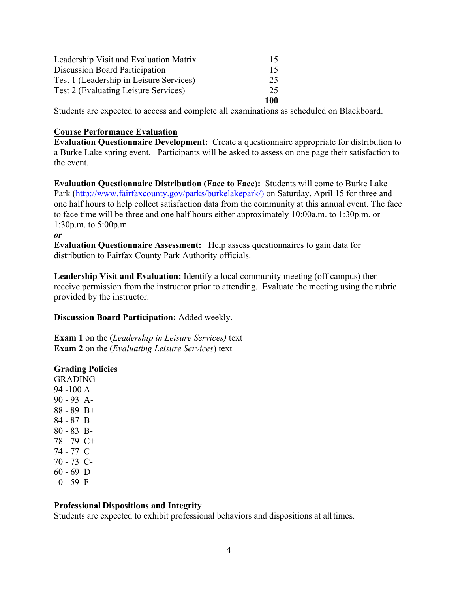| Leadership Visit and Evaluation Matrix  | 15  |
|-----------------------------------------|-----|
| Discussion Board Participation          | 15  |
| Test 1 (Leadership in Leisure Services) | 25  |
| Test 2 (Evaluating Leisure Services)    | 25  |
|                                         | 100 |

Students are expected to access and complete all examinations as scheduled on Blackboard.

#### **Course Performance Evaluation**

**Evaluation Questionnaire Development:** Create a questionnaire appropriate for distribution to a Burke Lake spring event. Participants will be asked to assess on one page their satisfaction to the event.

**Evaluation Questionnaire Distribution (Face to Face):** Students will come to Burke Lake Park (http://www.fairfaxcounty.gov/parks/burkelakepark/) on Saturday, April 15 for three and one half hours to help collect satisfaction data from the community at this annual event. The face to face time will be three and one half hours either approximately 10:00a.m. to 1:30p.m. or 1:30p.m. to 5:00p.m.

#### *or*

**Evaluation Questionnaire Assessment:** Help assess questionnaires to gain data for distribution to Fairfax County Park Authority officials.

**Leadership Visit and Evaluation:** Identify a local community meeting (off campus) then receive permission from the instructor prior to attending. Evaluate the meeting using the rubric provided by the instructor.

#### **Discussion Board Participation:** Added weekly.

**Exam 1** on the (*Leadership in Leisure Services)* text **Exam 2** on the (*Evaluating Leisure Services*) text

#### **Grading Policies**

GRADING 94 -100 A 90 - 93 A-88 - 89 B+ 84 - 87 B 80 - 83 B-78 - 79 C+ 74 - 77 C 70 - 73 C- $60 - 69$  D  $0 - 59$  F

## **Professional Dispositions and Integrity**

Students are expected to exhibit professional behaviors and dispositions at alltimes.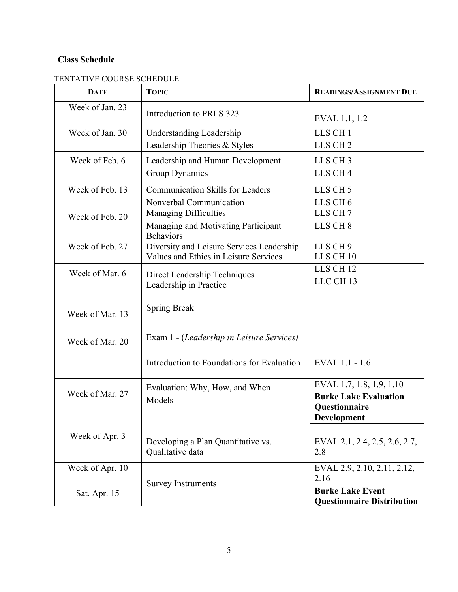## **Class Schedule**

## TENTATIVE COURSE SCHEDULE

| <b>DATE</b>     | <b>TOPIC</b>                                            | <b>READINGS/ASSIGNMENT DUE</b>                               |
|-----------------|---------------------------------------------------------|--------------------------------------------------------------|
| Week of Jan. 23 | Introduction to PRLS 323                                | EVAL 1.1, 1.2                                                |
| Week of Jan. 30 | <b>Understanding Leadership</b>                         | LLS CH <sub>1</sub>                                          |
|                 | Leadership Theories & Styles                            | LLS CH <sub>2</sub>                                          |
| Week of Feb. 6  | Leadership and Human Development                        | LLS CH <sub>3</sub>                                          |
|                 | Group Dynamics                                          | LLS CH <sub>4</sub>                                          |
| Week of Feb. 13 | <b>Communication Skills for Leaders</b>                 | LLS CH <sub>5</sub>                                          |
|                 | Nonverbal Communication                                 | LLS CH <sub>6</sub>                                          |
| Week of Feb. 20 | <b>Managing Difficulties</b>                            | LLS CH <sub>7</sub>                                          |
|                 | Managing and Motivating Participant<br><b>Behaviors</b> | LLS CH <sub>8</sub>                                          |
| Week of Feb. 27 | Diversity and Leisure Services Leadership               | LLS CH <sub>9</sub>                                          |
|                 | Values and Ethics in Leisure Services                   | LLS CH 10                                                    |
| Week of Mar. 6  | Direct Leadership Techniques                            | LLS CH <sub>12</sub>                                         |
|                 | Leadership in Practice                                  | LLC CH <sub>13</sub>                                         |
| Week of Mar. 13 | <b>Spring Break</b>                                     |                                                              |
| Week of Mar. 20 | Exam 1 - (Leadership in Leisure Services)               |                                                              |
|                 | Introduction to Foundations for Evaluation              | EVAL 1.1 - 1.6                                               |
| Week of Mar. 27 | Evaluation: Why, How, and When                          | EVAL 1.7, 1.8, 1.9, 1.10                                     |
|                 | Models                                                  | <b>Burke Lake Evaluation</b><br>Questionnaire                |
|                 |                                                         | Development                                                  |
| Week of Apr. 3  | Developing a Plan Quantitative vs.<br>Qualitative data  | EVAL 2.1, 2.4, 2.5, 2.6, 2.7,<br>2.8                         |
| Week of Apr. 10 |                                                         | EVAL 2.9, 2.10, 2.11, 2.12,                                  |
|                 | <b>Survey Instruments</b>                               | 2.16                                                         |
| Sat. Apr. 15    |                                                         | <b>Burke Lake Event</b><br><b>Questionnaire Distribution</b> |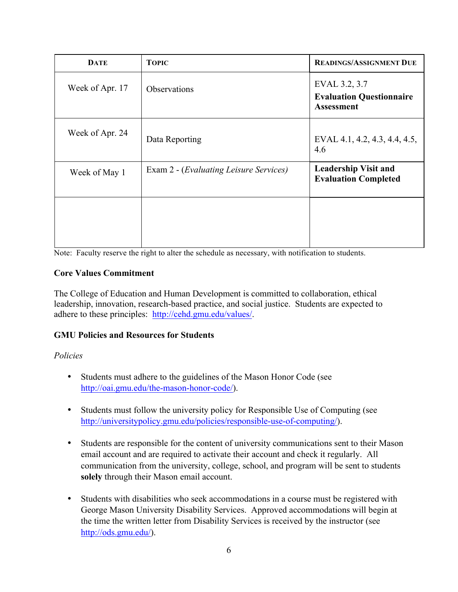| <b>DATE</b>     | <b>TOPIC</b>                                    | <b>READINGS/ASSIGNMENT DUE</b>                                        |
|-----------------|-------------------------------------------------|-----------------------------------------------------------------------|
| Week of Apr. 17 | <b>Observations</b>                             | EVAL 3.2, 3.7<br><b>Evaluation Questionnaire</b><br><b>Assessment</b> |
| Week of Apr. 24 | Data Reporting                                  | EVAL 4.1, 4.2, 4.3, 4.4, 4.5,<br>4.6                                  |
| Week of May 1   | Exam 2 - ( <i>Evaluating Leisure Services</i> ) | <b>Leadership Visit and</b><br><b>Evaluation Completed</b>            |
|                 |                                                 |                                                                       |

Note: Faculty reserve the right to alter the schedule as necessary, with notification to students.

#### **Core Values Commitment**

The College of Education and Human Development is committed to collaboration, ethical leadership, innovation, research-based practice, and social justice. Students are expected to adhere to these principles: http://cehd.gmu.edu/values/.

## **GMU Policies and Resources for Students**

#### *Policies*

- Students must adhere to the guidelines of the Mason Honor Code (see http://oai.gmu.edu/the-mason-honor-code/).
- Students must follow the university policy for Responsible Use of Computing (see http://universitypolicy.gmu.edu/policies/responsible-use-of-computing/).
- Students are responsible for the content of university communications sent to their Mason email account and are required to activate their account and check it regularly. All communication from the university, college, school, and program will be sent to students **solely** through their Mason email account.
- Students with disabilities who seek accommodations in a course must be registered with George Mason University Disability Services. Approved accommodations will begin at the time the written letter from Disability Services is received by the instructor (see http://ods.gmu.edu/).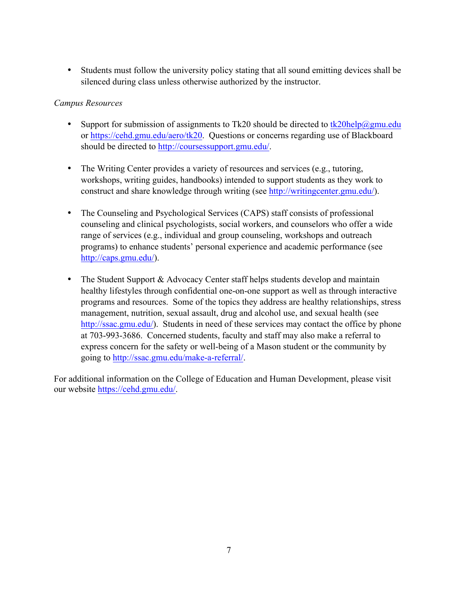• Students must follow the university policy stating that all sound emitting devices shall be silenced during class unless otherwise authorized by the instructor.

## *Campus Resources*

- Support for submission of assignments to Tk20 should be directed to tk20help@gmu.edu or https://cehd.gmu.edu/aero/tk20. Questions or concerns regarding use of Blackboard should be directed to http://coursessupport.gmu.edu/.
- The Writing Center provides a variety of resources and services (e.g., tutoring, workshops, writing guides, handbooks) intended to support students as they work to construct and share knowledge through writing (see http://writingcenter.gmu.edu/).
- The Counseling and Psychological Services (CAPS) staff consists of professional counseling and clinical psychologists, social workers, and counselors who offer a wide range of services (e.g., individual and group counseling, workshops and outreach programs) to enhance students' personal experience and academic performance (see http://caps.gmu.edu/).
- The Student Support & Advocacy Center staff helps students develop and maintain healthy lifestyles through confidential one-on-one support as well as through interactive programs and resources. Some of the topics they address are healthy relationships, stress management, nutrition, sexual assault, drug and alcohol use, and sexual health (see http://ssac.gmu.edu/). Students in need of these services may contact the office by phone at 703-993-3686. Concerned students, faculty and staff may also make a referral to express concern for the safety or well-being of a Mason student or the community by going to http://ssac.gmu.edu/make-a-referral/.

For additional information on the College of Education and Human Development, please visit our website https://cehd.gmu.edu/.